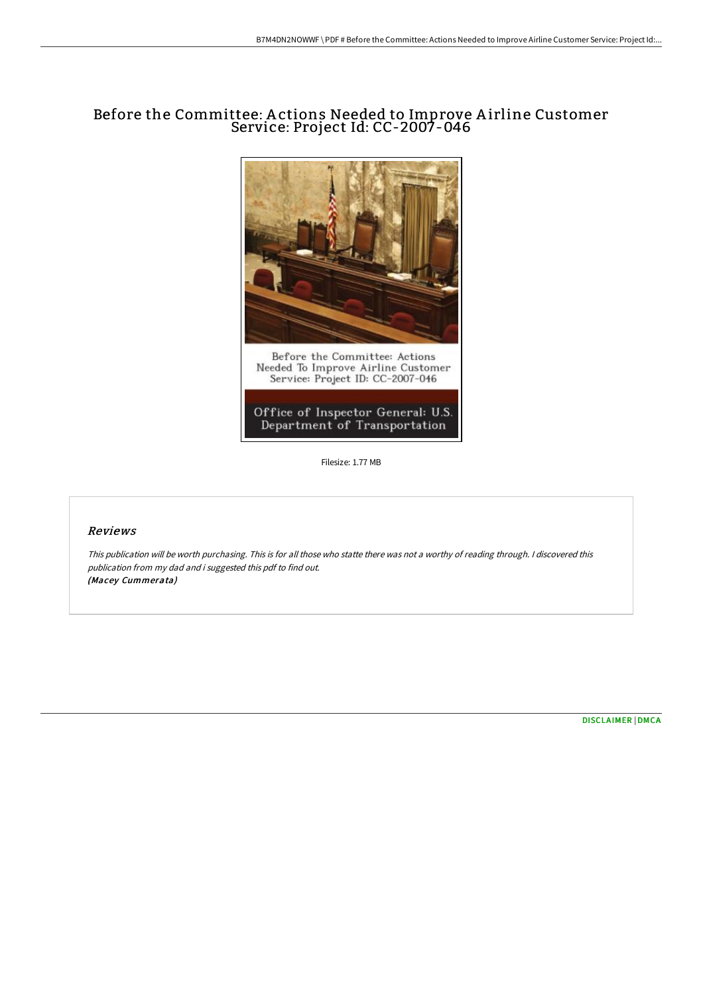# Before the Committee: A ctions Needed to Improve A irline Customer Service: Project Id: CC-2007-046



Filesize: 1.77 MB

## Reviews

This publication will be worth purchasing. This is for all those who statte there was not <sup>a</sup> worthy of reading through. <sup>I</sup> discovered this publication from my dad and i suggested this pdf to find out. (Macey Cummerata)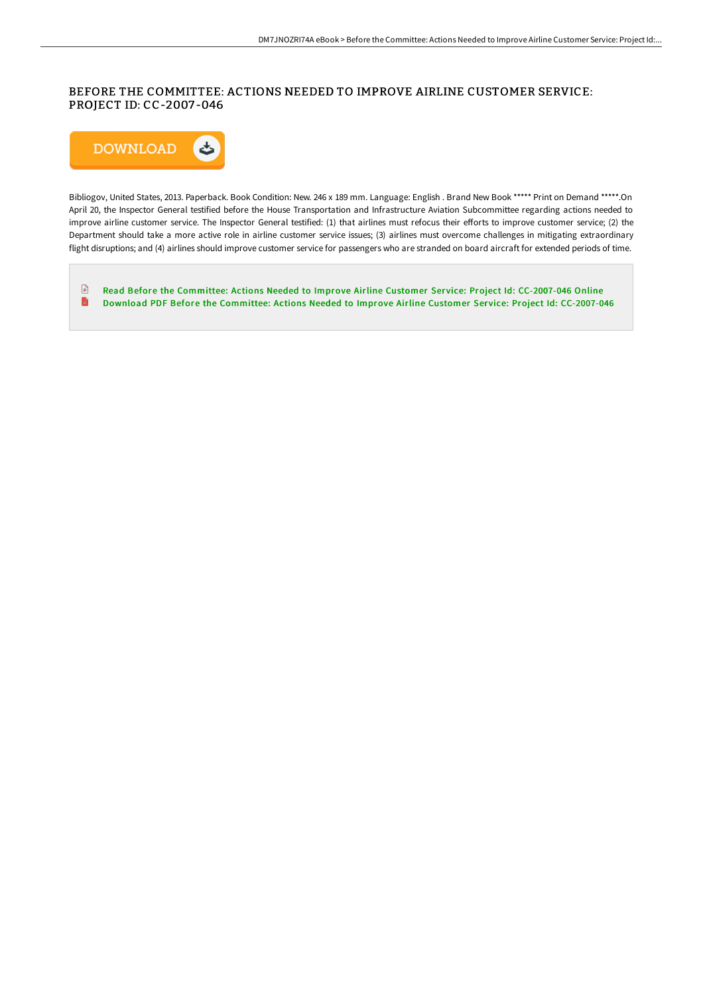## BEFORE THE COMMITTEE: ACTIONS NEEDED TO IMPROVE AIRLINE CUSTOMER SERVICE: PROJECT ID: CC-2007 -046



Bibliogov, United States, 2013. Paperback. Book Condition: New. 246 x 189 mm. Language: English . Brand New Book \*\*\*\*\* Print on Demand \*\*\*\*\*.On April 20, the Inspector General testified before the House Transportation and Infrastructure Aviation Subcommittee regarding actions needed to improve airline customer service. The Inspector General testified: (1) that airlines must refocus their efforts to improve customer service; (2) the Department should take a more active role in airline customer service issues; (3) airlines must overcome challenges in mitigating extraordinary flight disruptions; and (4) airlines should improve customer service for passengers who are stranded on board aircraft for extended periods of time.

 $\mathbf{r}$ Read Before the Committee: Actions Needed to Improve Airline Customer Service: Project Id: [CC-2007-046](http://techno-pub.tech/before-the-committee-actions-needed-to-improve-a.html) Online  $\blacksquare$ Download PDF Before the Committee: Actions Needed to Improve Airline Customer Service: Project Id: [CC-2007-046](http://techno-pub.tech/before-the-committee-actions-needed-to-improve-a.html)